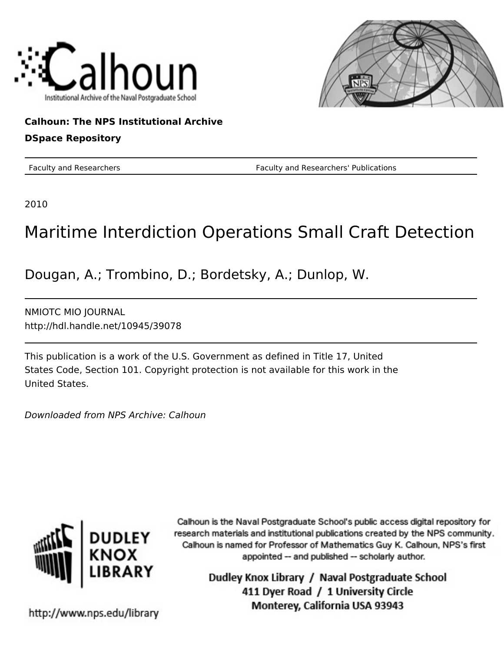



## **Calhoun: The NPS Institutional Archive**

### **DSpace Repository**

Faculty and Researchers Faculty and Researchers' Publications

2010

# Maritime Interdiction Operations Small Craft Detection

Dougan, A.; Trombino, D.; Bordetsky, A.; Dunlop, W.

NMIOTC MIO JOURNAL http://hdl.handle.net/10945/39078

This publication is a work of the U.S. Government as defined in Title 17, United States Code, Section 101. Copyright protection is not available for this work in the United States.

Downloaded from NPS Archive: Calhoun



Calhoun is the Naval Postgraduate School's public access digital repository for research materials and institutional publications created by the NPS community. Calhoun is named for Professor of Mathematics Guy K. Calhoun, NPS's first appointed -- and published -- scholarly author.

> Dudley Knox Library / Naval Postgraduate School 411 Dyer Road / 1 University Circle Monterey, California USA 93943

http://www.nps.edu/library